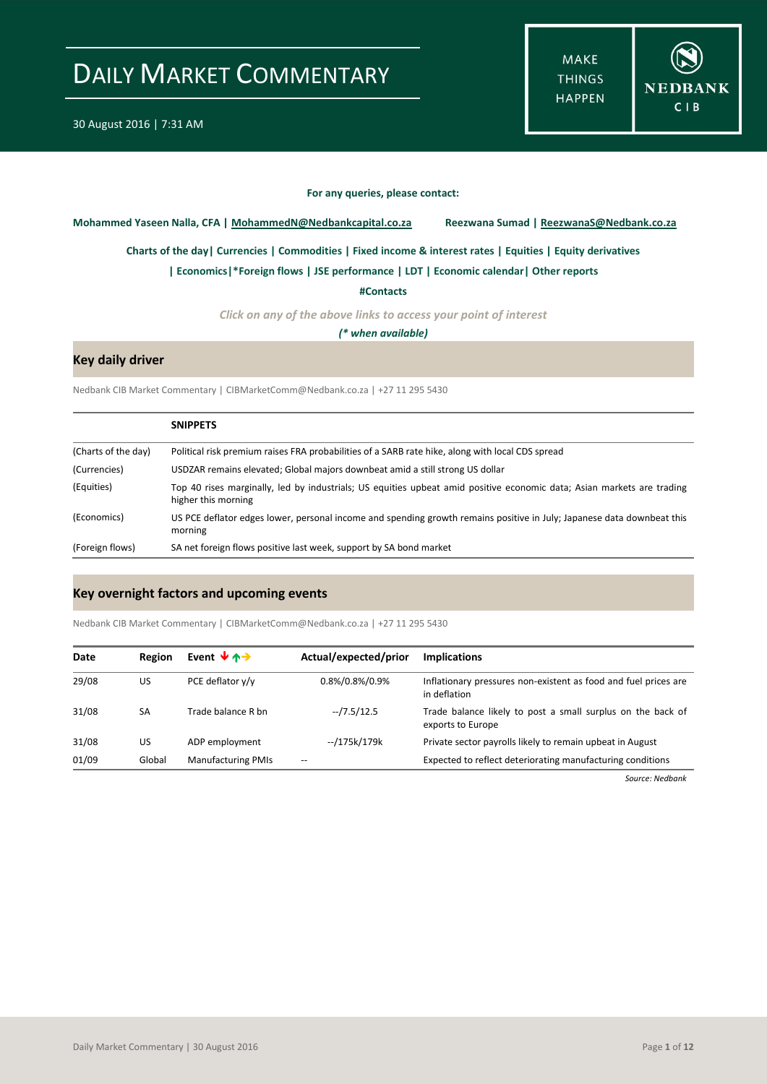**MAKE THINGS HAPPEN** 



#### **For any queries, please contact:**

<span id="page-0-0"></span>**Mohammed Yaseen Nalla, CFA | MohammedN@Nedbankcapital.co.za Reezwana Sumad | ReezwanaS@Nedbank.co.za**

**[Charts of the day|](#page-1-0) [Currencies](#page-2-0) [| Commodities](#page-3-0) | [Fixed income & interest rates](#page-4-0) [| Equities](#page-5-0) | Equity derivatives**

**[| Economics|](#page-6-0)[\\*Foreign flows](#page-7-0) | [JSE performance](#page-8-0) [| LDT](#page-9-0) [| Economic calendar|](#page-9-1) Other reports** 

**[#Contacts](#page-10-0)**

*Click on any of the above links to access your point of interest*

*(\* when available)*

### **Key daily driver**

Nedbank CIB Market Commentary | CIBMarketComm@Nedbank.co.za | +27 11 295 5430

|                     | <b>SNIPPETS</b>                                                                                                                               |
|---------------------|-----------------------------------------------------------------------------------------------------------------------------------------------|
| (Charts of the day) | Political risk premium raises FRA probabilities of a SARB rate hike, along with local CDS spread                                              |
| (Currencies)        | USDZAR remains elevated; Global majors downbeat amid a still strong US dollar                                                                 |
| (Equities)          | Top 40 rises marginally, led by industrials; US equities upbeat amid positive economic data; Asian markets are trading<br>higher this morning |
| (Economics)         | US PCE deflator edges lower, personal income and spending growth remains positive in July; Japanese data downbeat this<br>morning             |
| (Foreign flows)     | SA net foreign flows positive last week, support by SA bond market                                                                            |

### **Key overnight factors and upcoming events**

Nedbank CIB Market Commentary | CIBMarketComm@Nedbank.co.za | +27 11 295 5430

| Date  | Region | Event $\forall$ $\land \rightarrow$ | Actual/expected/prior | <b>Implications</b>                                                              |
|-------|--------|-------------------------------------|-----------------------|----------------------------------------------------------------------------------|
| 29/08 | US     | PCE deflator y/y                    | 0.8%/0.8%/0.9%        | Inflationary pressures non-existent as food and fuel prices are<br>in deflation  |
| 31/08 | SA     | Trade balance R bn                  | $-7.5/12.5$           | Trade balance likely to post a small surplus on the back of<br>exports to Europe |
| 31/08 | US     | ADP employment                      | --/175k/179k          | Private sector payrolls likely to remain upbeat in August                        |
| 01/09 | Global | <b>Manufacturing PMIs</b>           |                       | Expected to reflect deteriorating manufacturing conditions                       |

*Source: Nedbank*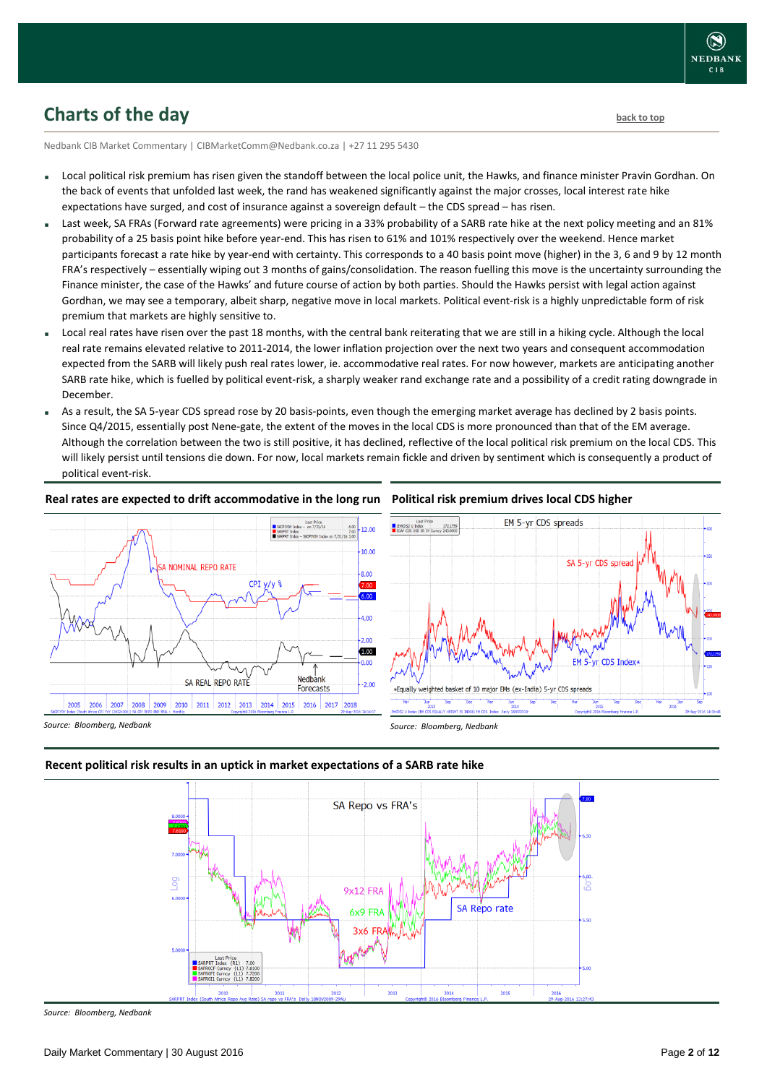# <span id="page-1-0"></span>**Charts of the day** [back to top](#page-0-0) **back to top**

Nedbank CIB Market Commentary | CIBMarketComm@Nedbank.co.za | +27 11 295 5430

- Local political risk premium has risen given the standoff between the local police unit, the Hawks, and finance minister Pravin Gordhan. On the back of events that unfolded last week, the rand has weakened significantly against the major crosses, local interest rate hike expectations have surged, and cost of insurance against a sovereign default – the CDS spread – has risen.
- Last week, SA FRAs (Forward rate agreements) were pricing in a 33% probability of a SARB rate hike at the next policy meeting and an 81% probability of a 25 basis point hike before year-end. This has risen to 61% and 101% respectively over the weekend. Hence market participants forecast a rate hike by year-end with certainty. This corresponds to a 40 basis point move (higher) in the 3, 6 and 9 by 12 month FRA's respectively – essentially wiping out 3 months of gains/consolidation. The reason fuelling this move is the uncertainty surrounding the Finance minister, the case of the Hawks' and future course of action by both parties. Should the Hawks persist with legal action against Gordhan, we may see a temporary, albeit sharp, negative move in local markets. Political event-risk is a highly unpredictable form of risk premium that markets are highly sensitive to.
- Local real rates have risen over the past 18 months, with the central bank reiterating that we are still in a hiking cycle. Although the local real rate remains elevated relative to 2011-2014, the lower inflation projection over the next two years and consequent accommodation expected from the SARB will likely push real rates lower, ie. accommodative real rates. For now however, markets are anticipating another SARB rate hike, which is fuelled by political event-risk, a sharply weaker rand exchange rate and a possibility of a credit rating downgrade in December.
- As a result, the SA 5-year CDS spread rose by 20 basis-points, even though the emerging market average has declined by 2 basis points. Since Q4/2015, essentially post Nene-gate, the extent of the moves in the local CDS is more pronounced than that of the EM average. Although the correlation between the two is still positive, it has declined, reflective of the local political risk premium on the local CDS. This will likely persist until tensions die down. For now, local markets remain fickle and driven by sentiment which is consequently a product of political event-risk.

#### **Real rates are expected to drift accommodative in the long run**



# **Political risk premium drives local CDS higher**



*Source: Bloomberg, Nedbank*

*Source: Bloomberg, Nedbank*

### **Recent political risk results in an uptick in market expectations of a SARB rate hike**



*Source: Bloomberg, Nedbank*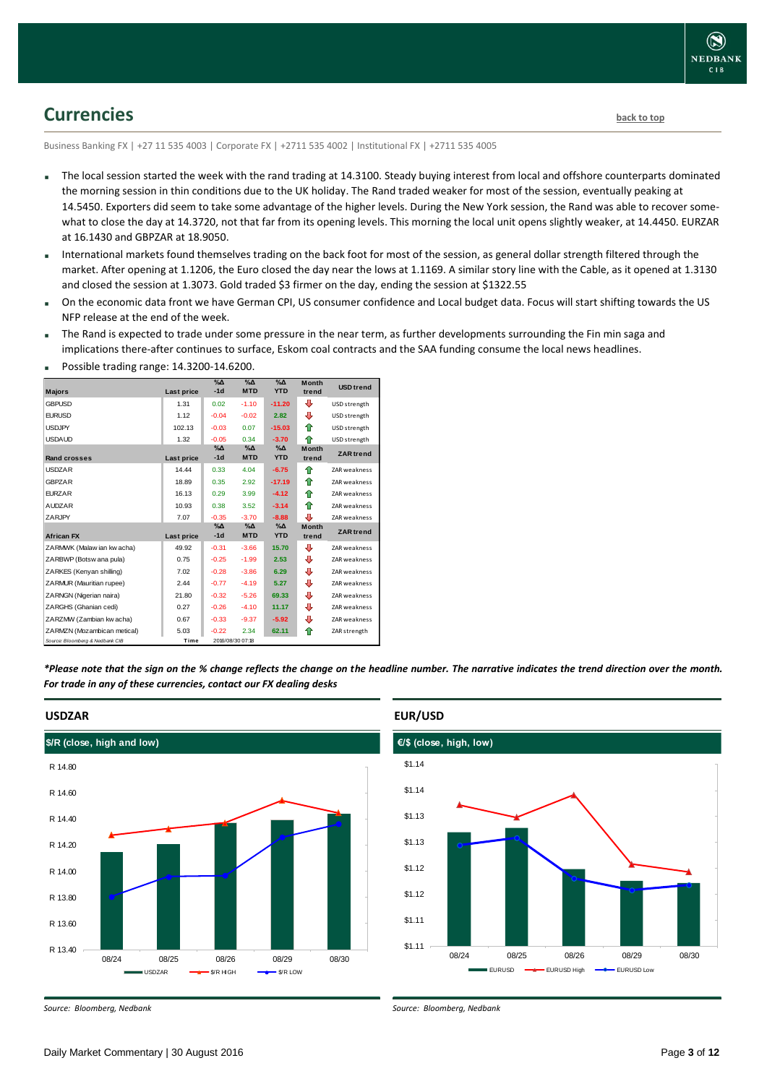# <span id="page-2-0"></span>**Currencies [back to top](#page-0-0)**

Business Banking FX | +27 11 535 4003 | Corporate FX | +2711 535 4002 | Institutional FX | +2711 535 4005

- The local session started the week with the rand trading at 14.3100. Steady buying interest from local and offshore counterparts dominated the morning session in thin conditions due to the UK holiday. The Rand traded weaker for most of the session, eventually peaking at 14.5450. Exporters did seem to take some advantage of the higher levels. During the New York session, the Rand was able to recover somewhat to close the day at 14.3720, not that far from its opening levels. This morning the local unit opens slightly weaker, at 14.4450. EURZAR at 16.1430 and GBPZAR at 18.9050.
- International markets found themselves trading on the back foot for most of the session, as general dollar strength filtered through the market. After opening at 1.1206, the Euro closed the day near the lows at 1.1169. A similar story line with the Cable, as it opened at 1.3130 and closed the session at 1.3073. Gold traded \$3 firmer on the day, ending the session at \$1322.55
- On the economic data front we have German CPI, US consumer confidence and Local budget data. Focus will start shifting towards the US NFP release at the end of the week.
- The Rand is expected to trade under some pressure in the near term, as further developments surrounding the Fin min saga and implications there-after continues to surface, Eskom coal contracts and the SAA funding consume the local news headlines.

|                                 |            | $\sqrt{2}$             | $\sqrt{\Delta}$             | $\sqrt{\Delta}$          | <b>Month</b>          | <b>USD</b> trend    |
|---------------------------------|------------|------------------------|-----------------------------|--------------------------|-----------------------|---------------------|
| <b>Majors</b>                   | Last price | $-1d$                  | <b>MTD</b>                  | <b>YTD</b>               | trend                 |                     |
| <b>GBPUSD</b>                   | 1.31       | 0.02                   | $-1.10$                     | $-11.20$                 | Ф                     | USD strength        |
| <b>EURUSD</b>                   | 1.12       | $-0.04$                | $-0.02$                     | 2.82                     | ⊕                     | USD strength        |
| <b>USDJPY</b>                   | 102.13     | $-0.03$                | 0.07                        | $-15.03$                 | ♠                     | USD strength        |
| <b>USDAUD</b>                   | 1.32       | $-0.05$                | 0.34                        | $-3.70$                  | ♠                     | USD strength        |
| <b>Rand crosses</b>             | Last price | $\%$ $\Delta$<br>$-1d$ | $\%$ $\Delta$<br><b>MTD</b> | $\Delta_0$<br><b>YTD</b> | <b>Month</b><br>trend | <b>ZAR</b> trend    |
| <b>USDZAR</b>                   | 14.44      | 0.33                   | 4.04                        | $-6.75$                  | ♠                     | <b>ZAR</b> weakness |
| <b>GBPZAR</b>                   | 18.89      | 0.35                   | 2.92                        | $-17.19$                 | ♠                     | ZAR weakness        |
| <b>EURZAR</b>                   | 16.13      | 0.29                   | 3.99                        | $-4.12$                  | ♠                     | <b>ZAR</b> weakness |
| <b>AUDZAR</b>                   | 10.93      | 0.38                   | 3.52                        | $-3.14$                  | ♠                     | <b>ZAR</b> weakness |
| <b>ZARJPY</b>                   | 7.07       | $-0.35$                | $-3.70$                     | $-8.88$                  | л                     | ZAR weakness        |
|                                 |            | $\%$ $\Delta$          | $\%$ $\Delta$               | $\%$ $\Delta$            | <b>Month</b>          | <b>ZAR</b> trend    |
| <b>African FX</b>               | Last price | $-1d$                  | <b>MTD</b>                  | <b>YTD</b>               | trend                 |                     |
| ZARMWK (Malaw ian kw acha)      | 49.92      | $-0.31$                | $-3.66$                     | 15.70                    | ⊕                     | <b>ZAR</b> weakness |
| ZARBWP (Botsw ana pula)         | 0.75       | $-0.25$                | $-1.99$                     | 2.53                     | ⊕                     | <b>ZAR</b> weakness |
| ZARKES (Kenyan shilling)        | 7.02       | $-0.28$                | $-3.86$                     | 6.29                     | ⊕                     | <b>ZAR</b> weakness |
| ZARMUR (Mauritian rupee)        | 2.44       | $-0.77$                | $-4.19$                     | 5.27                     | ⊕                     | ZAR weakness        |
| ZARNGN (Nigerian naira)         | 21.80      | $-0.32$                | $-5.26$                     | 69.33                    | ⊕                     | <b>ZAR weakness</b> |
| ZARGHS (Ghanian cedi)           | 0.27       | $-0.26$                | $-4.10$                     | 11.17                    | ⊕                     | <b>ZAR</b> weakness |
| ZARZMW (Zambian kw acha)        | 0.67       | $-0.33$                | $-9.37$                     | $-5.92$                  | ⊕                     | ZAR weakness        |
| ZARMZN (Mozambican metical)     | 5.03       | $-0.22$                | 2.34                        | 62.11                    | ♠                     | ZAR strength        |
| Source: Bloomberg & Nedbank CIB | Time       |                        | 2016/08/30 07:18            |                          |                       |                     |

Possible trading range: 14.3200-14.6200.

*\*Please note that the sign on the % change reflects the change on the headline number. The narrative indicates the trend direction over the month. For trade in any of these currencies, contact our FX dealing desks*



### **EUR/USD**

*Source: Bloomberg, Nedbank*



*Source: Bloomberg, Nedbank*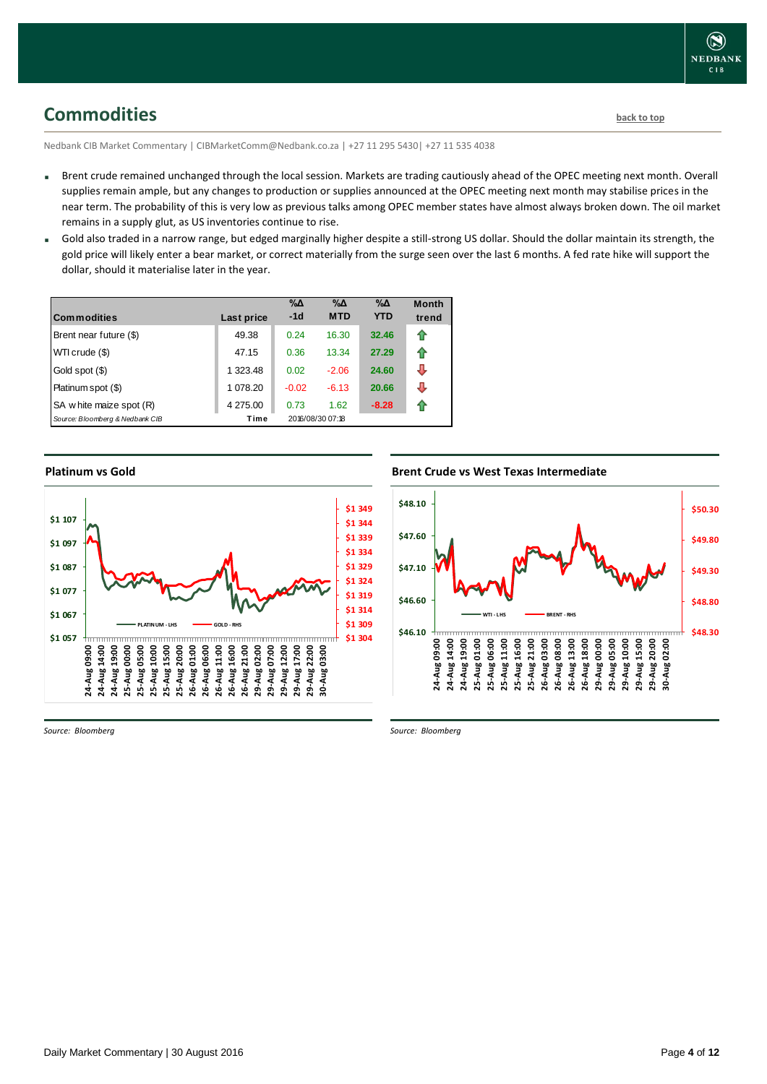<span id="page-3-0"></span>**Commodities [back to top](#page-0-0)** 

Nedbank CIB Market Commentary | CIBMarketComm@Nedbank.co.za | +27 11 295 5430| +27 11 535 4038

- Brent crude remained unchanged through the local session. Markets are trading cautiously ahead of the OPEC meeting next month. Overall supplies remain ample, but any changes to production or supplies announced at the OPEC meeting next month may stabilise prices in the near term. The probability of this is very low as previous talks among OPEC member states have almost always broken down. The oil market remains in a supply glut, as US inventories continue to rise.
- Gold also traded in a narrow range, but edged marginally higher despite a still-strong US dollar. Should the dollar maintain its strength, the gold price will likely enter a bear market, or correct materially from the surge seen over the last 6 months. A fed rate hike will support the dollar, should it materialise later in the year.

| <b>Commodities</b>              | Last price | $\% \Delta$<br>$-1d$ | $\% \Delta$<br><b>MTD</b> | $\% \Delta$<br><b>YTD</b> | <b>Month</b><br>trend |
|---------------------------------|------------|----------------------|---------------------------|---------------------------|-----------------------|
| Brent near future (\$)          | 49.38      | 0.24                 | 16.30                     | 32.46                     | ⇑                     |
| WTI crude (\$)                  | 47.15      | 0.36                 | 13.34                     | 27.29                     | ⇑                     |
| Gold spot (\$)                  | 1 323.48   | 0.02                 | $-2.06$                   | 24.60                     | ⊕                     |
| Platinum spot (\$)              | 1 078.20   | $-0.02$              | $-6.13$                   | 20.66                     | ⊕                     |
| SA w hite maize spot (R)        | 4 275.00   | 0.73                 | 1.62                      | $-8.28$                   | ⇑                     |
| Source: Bloomberg & Nedbank CIB | Time       |                      | 2016/08/30 07:18          |                           |                       |

#### **Platinum vs Gold**



**Brent Crude vs West Texas Intermediate Brent Crude vs West Texas Intermediate** 



*Source: Bloomberg*

*Source: Bloomberg*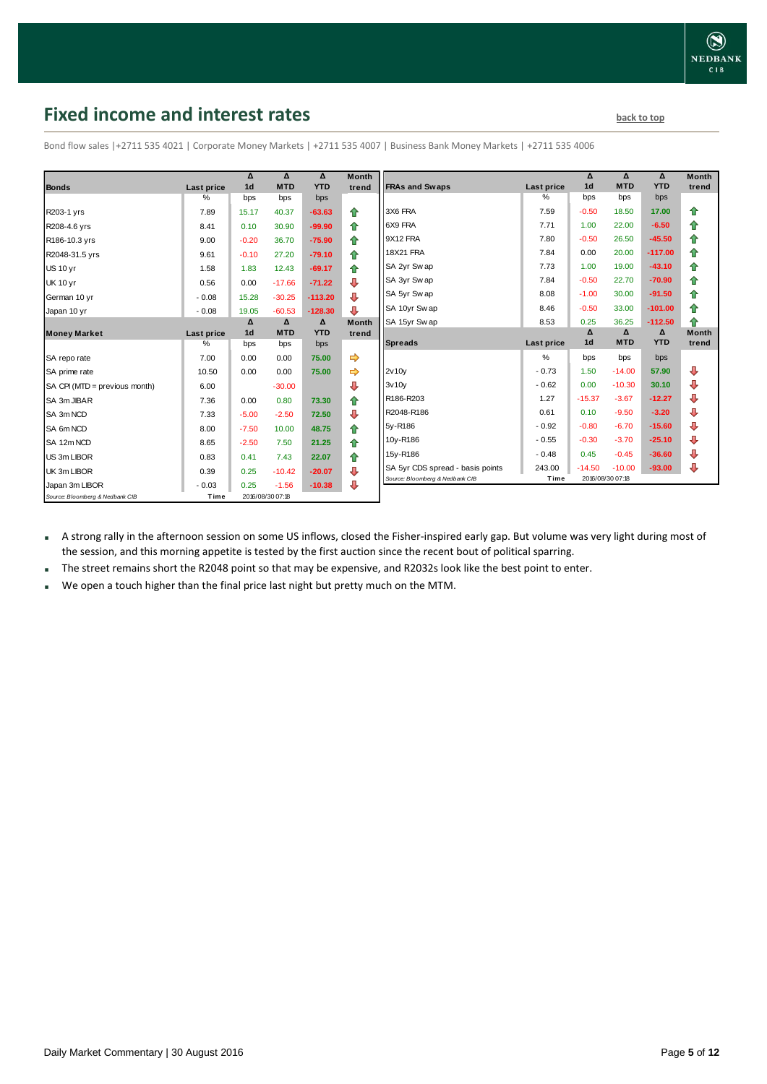**Month trend**

**Month trend**

### <span id="page-4-0"></span>**Fixed income and interest rates back to the line of the set of the set of the set of the set of the set of the set of the set of the set of the set of the set of the set of the set of the set of the set of the set of th**

|                                 |            | Δ              | Δ                | Δ          | <b>Month</b>  |                                  |                   | Δ              | Δ                | Δ          | <b>Month</b> |
|---------------------------------|------------|----------------|------------------|------------|---------------|----------------------------------|-------------------|----------------|------------------|------------|--------------|
| <b>Bonds</b>                    | Last price | 1 <sub>d</sub> | <b>MTD</b>       | <b>YTD</b> | trend         | <b>FRAs and Swaps</b>            | <b>Last price</b> | 1 <sub>d</sub> | <b>MTD</b>       | <b>YTD</b> | trend        |
|                                 | %          | bps            | bps              | bps        |               |                                  | %                 | bps            | bps              | bps        |              |
| R203-1 yrs                      | 7.89       | 15.17          | 40.37            | $-63.63$   | ⇑             | 3X6 FRA                          | 7.59              | $-0.50$        | 18.50            | 17.00      | ⇑            |
| R208-4.6 yrs                    | 8.41       | 0.10           | 30.90            | $-99.90$   | 企             | 6X9 FRA                          | 7.71              | 1.00           | 22.00            | $-6.50$    | ⇑            |
| R186-10.3 yrs                   | 9.00       | $-0.20$        | 36.70            | $-75.90$   | 企             | 9X12 FRA                         | 7.80              | $-0.50$        | 26.50            | $-45.50$   | ⇑            |
| R2048-31.5 yrs                  | 9.61       | $-0.10$        | 27.20            | $-79.10$   | ⇑             | <b>18X21 FRA</b>                 | 7.84              | 0.00           | 20.00            | $-117.00$  | ⇑            |
| <b>US 10 yr</b>                 | 1.58       | 1.83           | 12.43            | $-69.17$   | 合             | SA 2yr Sw ap                     | 7.73              | 1.00           | 19.00            | $-43.10$   | ⇑            |
| <b>UK 10 yr</b>                 | 0.56       | 0.00           | $-17.66$         | $-71.22$   | ⊕             | SA 3yr Sw ap                     | 7.84              | $-0.50$        | 22.70            | $-70.90$   | ⇑            |
| German 10 yr                    | $-0.08$    | 15.28          | $-30.25$         | $-113.20$  | ⊕             | SA 5yr Sw ap                     | 8.08              | $-1.00$        | 30.00            | $-91.50$   | ♠            |
| Japan 10 yr                     | $-0.08$    | 19.05          | $-60.53$         | $-128.30$  | ⊕             | SA 10yr Sw ap                    | 8.46              | $-0.50$        | 33.00            | $-101.00$  | ♠            |
|                                 |            | Δ              | Δ                | Δ          | <b>Month</b>  | SA 15yr Swap                     | 8.53              | 0.25           | 36.25            | $-112.50$  | 全            |
| <b>Money Market</b>             | Last price | 1 <sub>d</sub> | <b>MTD</b>       | <b>YTD</b> | trend         |                                  |                   | Δ              | Δ                | Δ          | <b>Month</b> |
|                                 | %          | bps            | bps              | bps        |               | <b>Spreads</b>                   | Last price        | 1 <sub>d</sub> | <b>MTD</b>       | <b>YTD</b> | trend        |
| SA repo rate                    | 7.00       | 0.00           | 0.00             | 75.00      | $\Rightarrow$ |                                  | %                 | bps            | bps              | bps        |              |
| SA prime rate                   | 10.50      | 0.00           | 0.00             | 75.00      | $\Rightarrow$ | 2v10v                            | $-0.73$           | 1.50           | $-14.00$         | 57.90      | ⊕            |
| SA CPI (MTD = previous month)   | 6.00       |                | $-30.00$         |            | ⊕             | 3v10v                            | $-0.62$           | 0.00           | $-10.30$         | 30.10      | ⊕            |
| SA 3m JIBAR                     | 7.36       | 0.00           | 0.80             | 73.30      | ⇮             | R186-R203                        | 1.27              | $-15.37$       | $-3.67$          | $-12.27$   | ⊕            |
| SA 3m NCD                       | 7.33       | $-5.00$        | $-2.50$          | 72.50      | ⊕             | R2048-R186                       | 0.61              | 0.10           | $-9.50$          | $-3.20$    | ⊕            |
| SA 6m NCD                       | 8.00       | $-7.50$        | 10.00            | 48.75      | 企             | 5y-R186                          | $-0.92$           | $-0.80$        | $-6.70$          | $-15.60$   | J            |
| SA 12m NCD                      | 8.65       | $-2.50$        | 7.50             | 21.25      | 全             | 10y-R186                         | $-0.55$           | $-0.30$        | $-3.70$          | $-25.10$   | ⊕            |
| US 3m LIBOR                     | 0.83       | 0.41           | 7.43             | 22.07      | 企             | 15y-R186                         | $-0.48$           | 0.45           | $-0.45$          | $-36.60$   | л            |
| UK 3m LIBOR                     | 0.39       | 0.25           | $-10.42$         | $-20.07$   | J             | SA 5yr CDS spread - basis points | 243.00            | $-14.50$       | $-10.00$         | $-93.00$   | Д            |
| Japan 3m LIBOR                  | $-0.03$    | 0.25           | $-1.56$          | $-10.38$   | ⊕             | Source: Bloomberg & Nedbank CIB  | Time              |                | 2016/08/30 07:18 |            |              |
| Source: Bloomberg & Nedbank CIB | Time       |                | 2016/08/30 07:18 |            |               |                                  |                   |                |                  |            |              |

Bond flow sales |+2711 535 4021 | Corporate Money Markets | +2711 535 4007 | Business Bank Money Markets | +2711 535 4006

 A strong rally in the afternoon session on some US inflows, closed the Fisher-inspired early gap. But volume was very light during most of the session, and this morning appetite is tested by the first auction since the recent bout of political sparring.

The street remains short the R2048 point so that may be expensive, and R2032s look like the best point to enter.

We open a touch higher than the final price last night but pretty much on the MTM.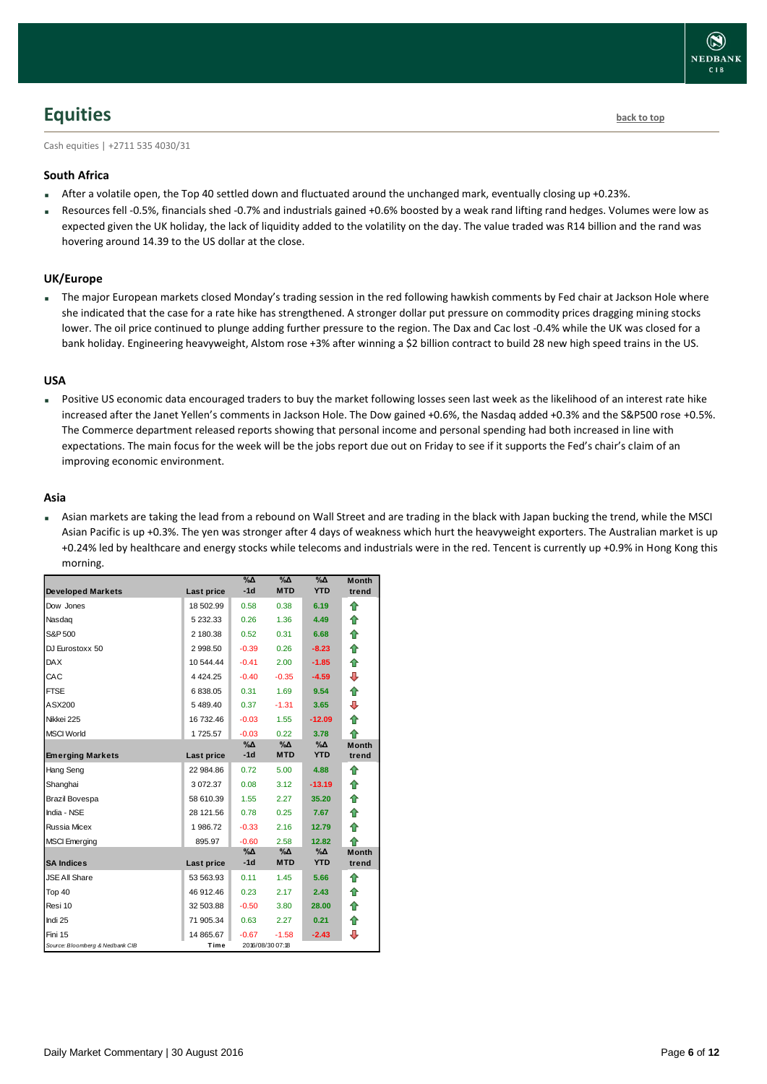# <span id="page-5-0"></span>**Equities [back to top](#page-0-0)**

Cash equities | +2711 535 4030/31

### **South Africa**

- After a volatile open, the Top 40 settled down and fluctuated around the unchanged mark, eventually closing up +0.23%.
- Resources fell -0.5%, financials shed -0.7% and industrials gained +0.6% boosted by a weak rand lifting rand hedges. Volumes were low as expected given the UK holiday, the lack of liquidity added to the volatility on the day. The value traded was R14 billion and the rand was hovering around 14.39 to the US dollar at the close.

### **UK/Europe**

 The major European markets closed Monday's trading session in the red following hawkish comments by Fed chair at Jackson Hole where she indicated that the case for a rate hike has strengthened. A stronger dollar put pressure on commodity prices dragging mining stocks lower. The oil price continued to plunge adding further pressure to the region. The Dax and Cac lost -0.4% while the UK was closed for a bank holiday. Engineering heavyweight, Alstom rose +3% after winning a \$2 billion contract to build 28 new high speed trains in the US.

### **USA**

 Positive US economic data encouraged traders to buy the market following losses seen last week as the likelihood of an interest rate hike increased after the Janet Yellen's comments in Jackson Hole. The Dow gained +0.6%, the Nasdaq added +0.3% and the S&P500 rose +0.5%. The Commerce department released reports showing that personal income and personal spending had both increased in line with expectations. The main focus for the week will be the jobs report due out on Friday to see if it supports the Fed's chair's claim of an improving economic environment.

### **Asia**

 Asian markets are taking the lead from a rebound on Wall Street and are trading in the black with Japan bucking the trend, while the MSCI Asian Pacific is up +0.3%. The yen was stronger after 4 days of weakness which hurt the heavyweight exporters. The Australian market is up +0.24% led by healthcare and energy stocks while telecoms and industrials were in the red. Tencent is currently up +0.9% in Hong Kong this morning.

| <b>Developed Markets</b>        |             | $\% \Delta$<br>$-1d$ | %Δ<br><b>MTD</b> | %Δ<br><b>YTD</b> | <b>Month</b><br>trend |
|---------------------------------|-------------|----------------------|------------------|------------------|-----------------------|
|                                 | Last price  |                      |                  |                  |                       |
| Dow Jones                       | 18 502.99   | 0.58                 | 0.38             | 6.19             | ⇮                     |
| Nasdaq                          | 5 232.33    | 0.26                 | 1.36             | 4.49             | ⇑                     |
| S&P 500                         | 2 180.38    | 0.52                 | 0.31             | 6.68             | 合                     |
| DJ Eurostoxx 50                 | 2 998.50    | $-0.39$              | 0.26             | $-8.23$          | 合                     |
| <b>DAX</b>                      | 10 544.44   | $-0.41$              | 2.00             | $-1.85$          | ✿                     |
| CAC                             | 4 4 2 4 .25 | $-0.40$              | $-0.35$          | $-4.59$          | ⊕                     |
| <b>FTSE</b>                     | 6838.05     | 0.31                 | 1.69             | 9.54             | 合                     |
| ASX200                          | 5489.40     | 0.37                 | $-1.31$          | 3.65             | ⊕                     |
| Nikkei 225                      | 16 732.46   | $-0.03$              | 1.55             | $-12.09$         | 合                     |
| <b>MSCI World</b>               | 1725.57     | $-0.03$              | 0.22             | 3.78             | ♠                     |
|                                 |             | %Δ                   | %Δ               | $\%$ $\Delta$    | <b>Month</b>          |
| <b>Emerging Markets</b>         | Last price  | $-1d$                | <b>MTD</b>       | <b>YTD</b>       | trend                 |
| Hang Seng                       | 22 984.86   | 0.72                 | 5.00             | 4.88             | ⇑                     |
| Shanghai                        | 3072.37     | 0.08                 | 3.12             | $-13.19$         | ⇑                     |
| Brazil Bovespa                  | 58 610.39   | 1.55                 | 2.27             | 35.20            | ✿                     |
| India - NSE                     | 28 121.56   | 0.78                 | 0.25             | 7.67             | 合                     |
| Russia Micex                    | 1986.72     | $-0.33$              | 2.16             | 12.79            | ⇑                     |
| <b>MSCI Emerging</b>            | 895.97      | $-0.60$              | 2.58             | 12.82            | 企                     |
|                                 |             | %Δ                   | %Δ               | %Δ               | <b>Month</b>          |
| <b>SA Indices</b>               | Last price  | $-1d$                | <b>MTD</b>       | <b>YTD</b>       | trend                 |
| <b>JSE All Share</b>            | 53 563.93   | 0.11                 | 1.45             | 5.66             | ♠                     |
| Top 40                          | 46 912.46   | 0.23                 | 2.17             | 2.43             | ⇮                     |
| Resi 10                         | 32 503.88   | $-0.50$              | 3.80             | 28.00            | ⇑                     |
| Indi 25                         | 71 905.34   | 0.63                 | 2.27             | 0.21             | ⇑                     |
| Fini 15                         | 14 865.67   | $-0.67$              | $-1.58$          | $-2.43$          | ⊕                     |
| Source: Bloomberg & Nedbank CIB | Time        |                      | 2016/08/30 07:18 |                  |                       |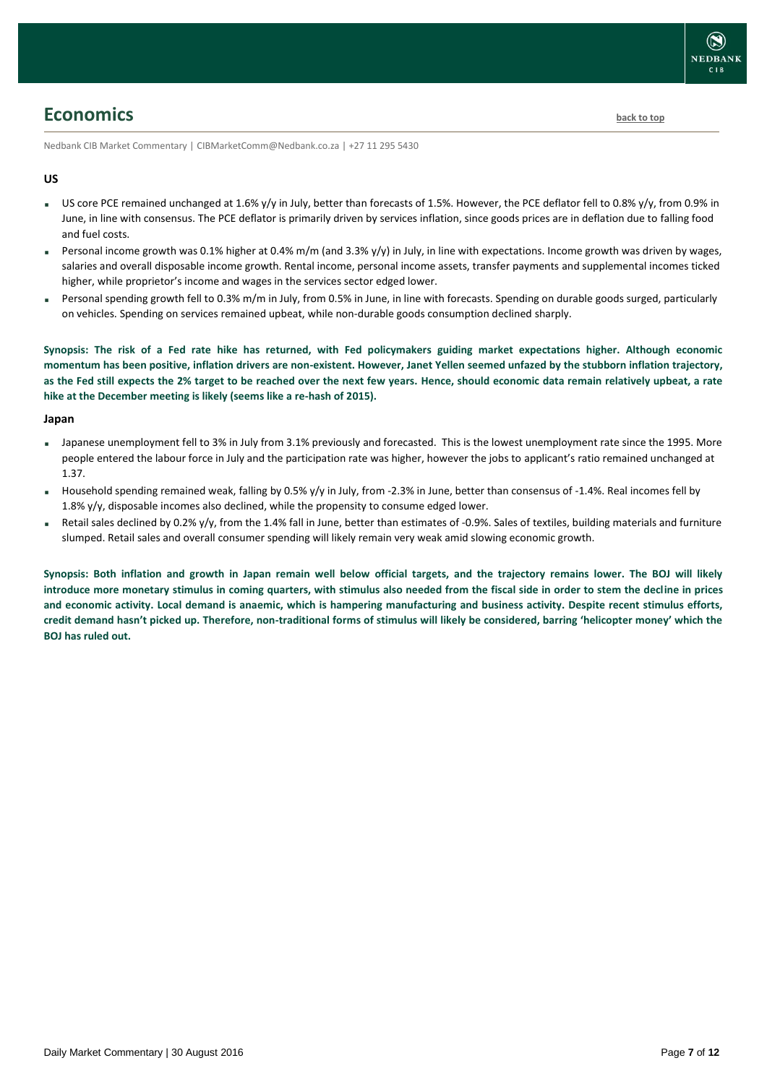# <span id="page-6-0"></span>**Economics [back to top](#page-0-0)**

Nedbank CIB Market Commentary | CIBMarketComm@Nedbank.co.za | +27 11 295 5430

### **US**

- US core PCE remained unchanged at 1.6% y/y in July, better than forecasts of 1.5%. However, the PCE deflator fell to 0.8% y/y, from 0.9% in June, in line with consensus. The PCE deflator is primarily driven by services inflation, since goods prices are in deflation due to falling food and fuel costs.
- Personal income growth was 0.1% higher at 0.4% m/m (and 3.3% y/y) in July, in line with expectations. Income growth was driven by wages, salaries and overall disposable income growth. Rental income, personal income assets, transfer payments and supplemental incomes ticked higher, while proprietor's income and wages in the services sector edged lower.
- Personal spending growth fell to 0.3% m/m in July, from 0.5% in June, in line with forecasts. Spending on durable goods surged, particularly on vehicles. Spending on services remained upbeat, while non-durable goods consumption declined sharply.

**Synopsis: The risk of a Fed rate hike has returned, with Fed policymakers guiding market expectations higher. Although economic momentum has been positive, inflation drivers are non-existent. However, Janet Yellen seemed unfazed by the stubborn inflation trajectory, as the Fed still expects the 2% target to be reached over the next few years. Hence, should economic data remain relatively upbeat, a rate hike at the December meeting is likely (seems like a re-hash of 2015).**

### **Japan**

- Japanese unemployment fell to 3% in July from 3.1% previously and forecasted. This is the lowest unemployment rate since the 1995. More people entered the labour force in July and the participation rate was higher, however the jobs to applicant's ratio remained unchanged at 1.37.
- Household spending remained weak, falling by 0.5% y/y in July, from -2.3% in June, better than consensus of -1.4%. Real incomes fell by 1.8% y/y, disposable incomes also declined, while the propensity to consume edged lower.
- Retail sales declined by 0.2% y/y, from the 1.4% fall in June, better than estimates of -0.9%. Sales of textiles, building materials and furniture slumped. Retail sales and overall consumer spending will likely remain very weak amid slowing economic growth.

**Synopsis: Both inflation and growth in Japan remain well below official targets, and the trajectory remains lower. The BOJ will likely introduce more monetary stimulus in coming quarters, with stimulus also needed from the fiscal side in order to stem the decline in prices and economic activity. Local demand is anaemic, which is hampering manufacturing and business activity. Despite recent stimulus efforts, credit demand hasn't picked up. Therefore, non-traditional forms of stimulus will likely be considered, barring 'helicopter money' which the BOJ has ruled out.**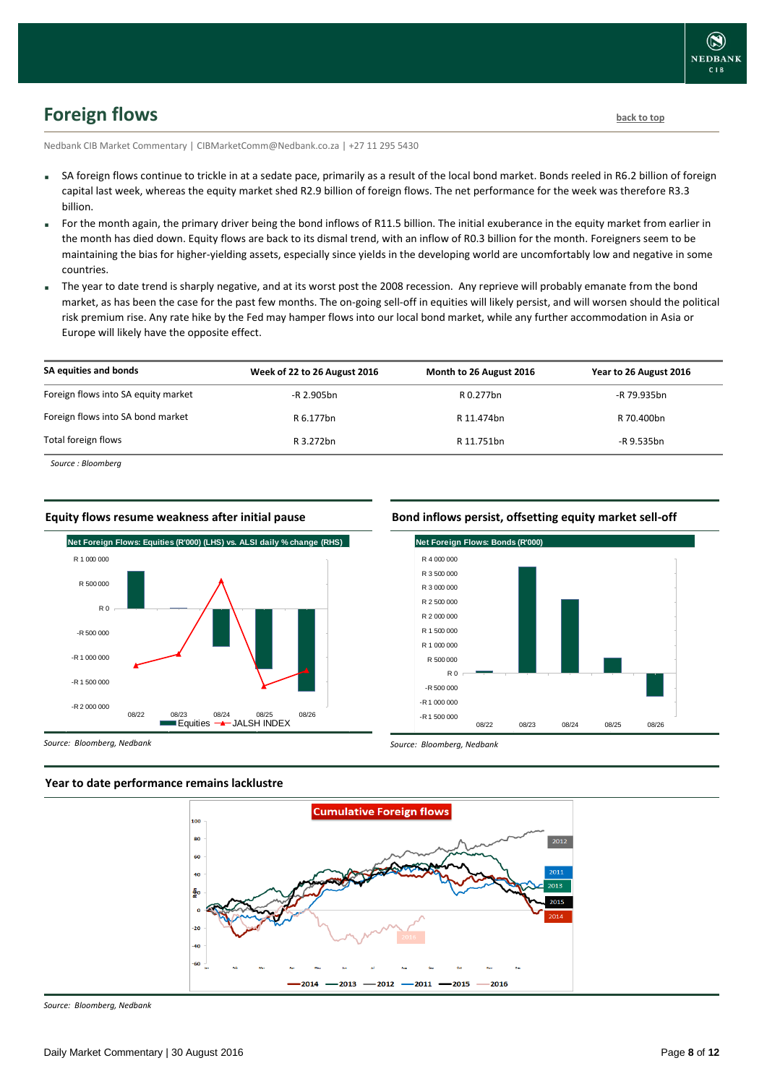# <span id="page-7-0"></span>**Foreign flows [back to top](#page-0-0)**

Nedbank CIB Market Commentary | CIBMarketComm@Nedbank.co.za | +27 11 295 5430

- SA foreign flows continue to trickle in at a sedate pace, primarily as a result of the local bond market. Bonds reeled in R6.2 billion of foreign capital last week, whereas the equity market shed R2.9 billion of foreign flows. The net performance for the week was therefore R3.3 billion.
- For the month again, the primary driver being the bond inflows of R11.5 billion. The initial exuberance in the equity market from earlier in the month has died down. Equity flows are back to its dismal trend, with an inflow of R0.3 billion for the month. Foreigners seem to be maintaining the bias for higher-yielding assets, especially since yields in the developing world are uncomfortably low and negative in some countries.
- The year to date trend is sharply negative, and at its worst post the 2008 recession. Any reprieve will probably emanate from the bond market, as has been the case for the past few months. The on-going sell-off in equities will likely persist, and will worsen should the political risk premium rise. Any rate hike by the Fed may hamper flows into our local bond market, while any further accommodation in Asia or Europe will likely have the opposite effect.

| SA equities and bonds               | Week of 22 to 26 August 2016 | Month to 26 August 2016 | Year to 26 August 2016 |
|-------------------------------------|------------------------------|-------------------------|------------------------|
| Foreign flows into SA equity market | -R 2.905bn                   | R 0.277bn               | -R 79.935bn            |
| Foreign flows into SA bond market   | R 6.177bn                    | R 11.474bn              | R 70.400bn             |
| Total foreign flows                 | R 3.272bn                    | R 11.751bn              | -R 9.535bn             |
|                                     |                              |                         |                        |

*Source : Bloomberg*

#### **Equity flows resume weakness after initial pause**



#### **Bond inflows persist, offsetting equity market sell-off**



*Source: Bloomberg, Nedbank*





*Source: Bloomberg, Nedbank*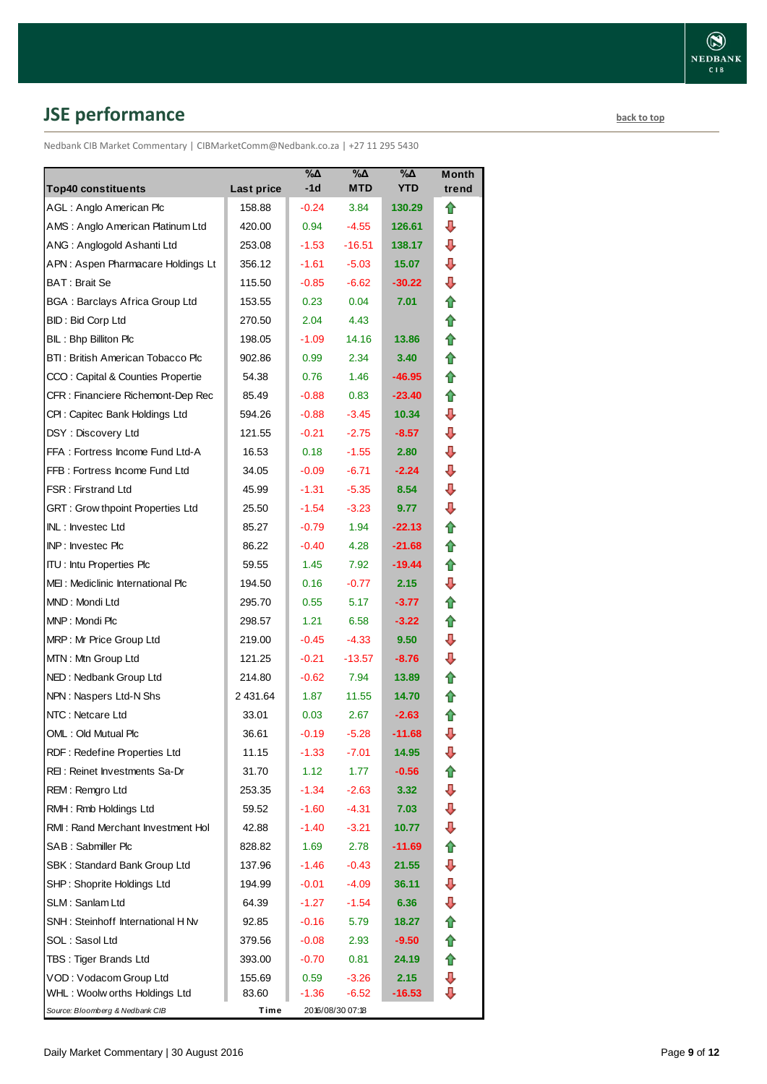# <span id="page-8-0"></span>**JSE performance [back to top](#page-0-0)**

Nedbank CIB Market Commentary | CIBMarketComm@Nedbank.co.za | +27 11 295 5430

| <b>Top40 constituents</b>                               | Last price       | %Δ<br>$-1d$        | %Δ<br><b>MTD</b>    | %Δ<br><b>YTD</b> | Month<br>trend |
|---------------------------------------------------------|------------------|--------------------|---------------------|------------------|----------------|
| AGL: Anglo American Plc                                 | 158.88           | $-0.24$            | 3.84                | 130.29           | ⇑              |
| AMS: Anglo American Platinum Ltd                        | 420.00           | 0.94               | $-4.55$             | 126.61           | ⊕              |
| ANG: Anglogold Ashanti Ltd                              | 253.08           | $-1.53$            | $-16.51$            | 138.17           | ⊕              |
| APN: Aspen Pharmacare Holdings Lt                       | 356.12           | $-1.61$            | $-5.03$             | 15.07            | ⇩              |
| BAT: Brait Se                                           | 115.50           | $-0.85$            | $-6.62$             | $-30.22$         | ⇩              |
| <b>BGA: Barclays Africa Group Ltd</b>                   | 153.55           | 0.23               | 0.04                | 7.01             | ✿              |
| <b>BID: Bid Corp Ltd</b>                                | 270.50           | 2.04               | 4.43                |                  | ⇮              |
| BIL: Bhp Billiton Plc                                   | 198.05           | $-1.09$            | 14.16               | 13.86            | ✿              |
| BTI: British American Tobacco Plc                       | 902.86           | 0.99               | 2.34                | 3.40             | ⇑              |
| CCO: Capital & Counties Propertie                       | 54.38            | 0.76               | 1.46                | $-46.95$         | ✿              |
| CFR : Financiere Richemont-Dep Rec                      | 85.49            | $-0.88$            | 0.83                | $-23.40$         | ⇑              |
| CPI: Capitec Bank Holdings Ltd                          | 594.26           | $-0.88$            | $-3.45$             | 10.34            | ⇩              |
| DSY: Discovery Ltd                                      | 121.55           | $-0.21$            | $-2.75$             | $-8.57$          | ⇩              |
| FFA: Fortress Income Fund Ltd-A                         | 16.53            | 0.18               | $-1.55$             | 2.80             | ⇩              |
| FFB: Fortress Income Fund Ltd                           | 34.05            | $-0.09$            | $-6.71$             | $-2.24$          | ⇩              |
| <b>FSR: Firstrand Ltd</b>                               | 45.99            | $-1.31$            | $-5.35$             | 8.54             | ⇩              |
| GRT : Grow thpoint Properties Ltd                       | 25.50            | $-1.54$            | $-3.23$             | 9.77             | ⇩              |
| INL: Investec Ltd                                       | 85.27            | $-0.79$            | 1.94                | $-22.13$         | ✿              |
| INP: Investec Plc                                       | 86.22            | $-0.40$            | 4.28                | $-21.68$         | ✿              |
| <b>ITU: Intu Properties Plc</b>                         | 59.55            | 1.45               | 7.92                | $-19.44$         | ⇑              |
| MEI: Mediclinic International Plc                       | 194.50           | 0.16               | $-0.77$             | 2.15             | ⇩              |
| MND: Mondi Ltd                                          | 295.70           | 0.55               | 5.17                | $-3.77$          | ⇑              |
| MNP: Mondi Plc                                          |                  |                    |                     |                  | ⇑              |
|                                                         | 298.57           | 1.21               | 6.58                | $-3.22$          | ⊕              |
| MRP: Mr Price Group Ltd<br>MTN: Mtn Group Ltd           | 219.00<br>121.25 | $-0.45$<br>$-0.21$ | $-4.33$<br>$-13.57$ | 9.50<br>$-8.76$  | ⇩              |
|                                                         | 214.80           | $-0.62$            | 7.94                | 13.89            | ⇑              |
| NED: Nedbank Group Ltd<br>NPN: Naspers Ltd-N Shs        | 2 431.64         | 1.87               | 11.55               | 14.70            |                |
| NTC: Netcare Ltd                                        | 33.01            | 0.03               | 2.67                | $-2.63$          | ⇑<br>⇑         |
| OML: Old Mutual Plc                                     | 36.61            | $-0.19$            | $-5.28$             | $-11.68$         | ⇩              |
| RDF: Redefine Properties Ltd                            | 11.15            |                    |                     | 14.95            | ⊕              |
| REI: Reinet Investments Sa-Dr                           | 31.70            | $-1.33$            | -7.01<br>1.77       |                  |                |
| REM: Remgro Ltd                                         |                  | 1.12<br>-1.34      | $-2.63$             | $-0.56$<br>3.32  | ⊕              |
| RMH: Rmb Holdings Ltd                                   | 253.35<br>59.52  | $-1.60$            |                     | 7.03             | ⊕              |
| RMI: Rand Merchant Investment Hol                       |                  |                    | -4.31               | 10.77            | ⊕              |
| SAB: Sabmiller Plc                                      | 42.88            | $-1.40$<br>1.69    | $-3.21$<br>2.78     | $-11.69$         |                |
|                                                         | 828.82           | $-1.46$            |                     |                  | 合<br>⊕         |
| SBK: Standard Bank Group Ltd                            | 137.96           |                    | $-0.43$             | 21.55            | ⊕              |
| SHP: Shoprite Holdings Ltd                              | 194.99           | $-0.01$            | $-4.09$             | 36.11            |                |
| SLM: Sanlam Ltd<br>SNH: Steinhoff International H Nv    | 64.39            | -1.27              | $-1.54$             | 6.36             | ⇩              |
|                                                         | 92.85            | $-0.16$            | 5.79                | 18.27            | ✿              |
| SOL: Sasol Ltd                                          | 379.56           | $-0.08$            | 2.93                | $-9.50$          | 合              |
| TBS: Tiger Brands Ltd                                   | 393.00           | $-0.70$            | 0.81                | 24.19            | ⇑              |
| VOD: Vodacom Group Ltd<br>WHL: Woolw orths Holdings Ltd | 155.69<br>83.60  | 0.59<br>-1.36      | $-3.26$<br>-6.52    | 2.15<br>$-16.53$ | ⊕<br>⇩         |
| Source: Bloomberg & Nedbank CIB                         | Time             |                    | 2016/08/30 07:18    |                  |                |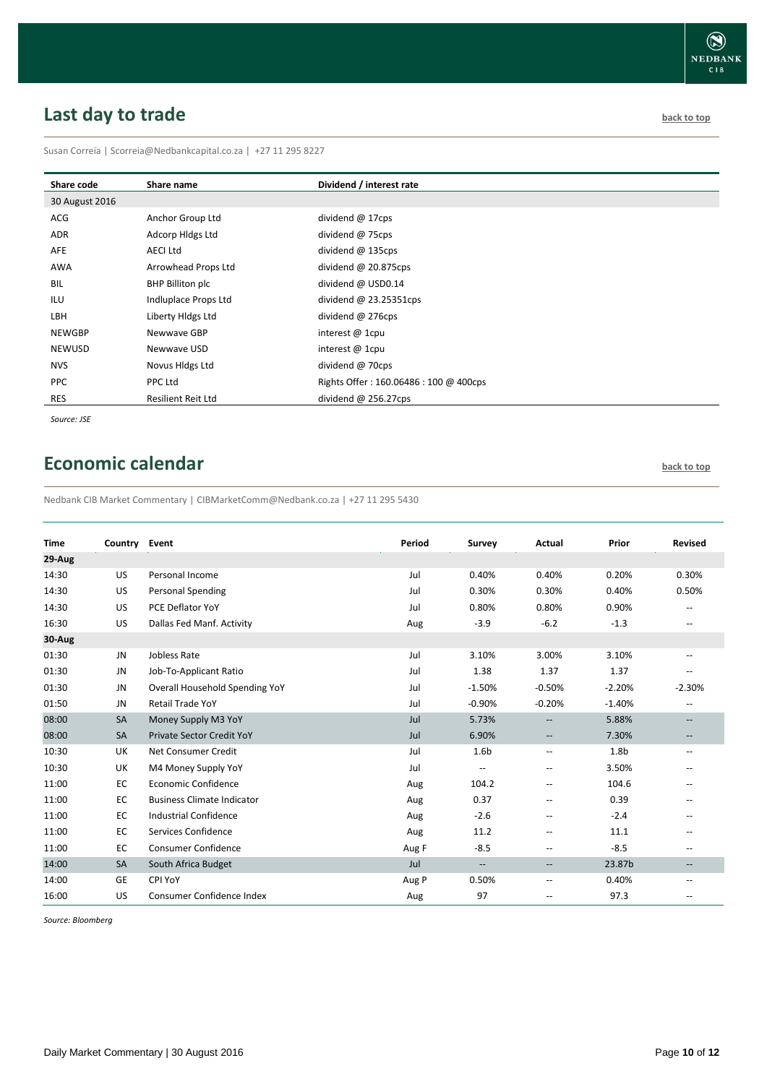# <span id="page-9-0"></span>**Last day to trade back to the contract of the contract of the contract of the contract of the contract of the contract of the contract of the contract of the contract of the contract of the contract of the contract of t**

Susan Correia | [Scorreia@Nedbankcapital.co.za](mailto:Scorreia@Nedbankcapital.co.za) | +27 11 295 8227

| Share code     | Share name           | Dividend / interest rate              |
|----------------|----------------------|---------------------------------------|
| 30 August 2016 |                      |                                       |
| ACG            | Anchor Group Ltd     | dividend @ 17cps                      |
| ADR            | Adcorp Hldgs Ltd     | dividend @ 75cps                      |
| AFE            | <b>AECI Ltd</b>      | dividend @ 135cps                     |
| AWA            | Arrowhead Props Ltd  | dividend @ 20.875cps                  |
| BIL            | BHP Billiton plc     | dividend @ USD0.14                    |
| ILU            | Indluplace Props Ltd | dividend $\omega$ 23.25351cps         |
| LBH            | Liberty Hidgs Ltd    | dividend $@$ 276cps                   |
| <b>NEWGBP</b>  | Newwave GBP          | interest $@$ 1cpu                     |
| <b>NEWUSD</b>  | Newwave USD          | interest $@$ 1cpu                     |
| <b>NVS</b>     | Novus Hldgs Ltd      | dividend @ 70cps                      |
| <b>PPC</b>     | PPC Ltd              | Rights Offer: 160.06486: 100 @ 400cps |
| <b>RES</b>     | Resilient Reit Ltd   | dividend $@$ 256.27cps                |
|                |                      |                                       |

*Source: JSE*

# <span id="page-9-1"></span>**Economic calendar [back to top](#page-0-0) back to top**

Nedbank CIB Market Commentary | CIBMarketComm@Nedbank.co.za | +27 11 295 5430

| <b>Time</b> | Country Event |                                   | Period | Survey                   | Actual                   | Prior            | <b>Revised</b>           |
|-------------|---------------|-----------------------------------|--------|--------------------------|--------------------------|------------------|--------------------------|
| 29-Aug      |               |                                   |        |                          |                          |                  |                          |
| 14:30       | <b>US</b>     | Personal Income                   | Jul    | 0.40%                    | 0.40%                    | 0.20%            | 0.30%                    |
| 14:30       | US            | <b>Personal Spending</b>          | Jul    | 0.30%                    | 0.30%                    | 0.40%            | 0.50%                    |
| 14:30       | US            | PCE Deflator YoY                  | Jul    | 0.80%                    | 0.80%                    | 0.90%            |                          |
| 16:30       | US            | Dallas Fed Manf. Activity         | Aug    | $-3.9$                   | $-6.2$                   | $-1.3$           | $\overline{\phantom{a}}$ |
| 30-Aug      |               |                                   |        |                          |                          |                  |                          |
| 01:30       | JN            | Jobless Rate                      | Jul    | 3.10%                    | 3.00%                    | 3.10%            | $- -$                    |
| 01:30       | JN            | Job-To-Applicant Ratio            | Jul    | 1.38                     | 1.37                     | 1.37             | $-$                      |
| 01:30       | JN            | Overall Household Spending YoY    | Jul    | $-1.50%$                 | $-0.50%$                 | $-2.20%$         | $-2.30%$                 |
| 01:50       | <b>JN</b>     | <b>Retail Trade YoY</b>           | Jul    | $-0.90%$                 | $-0.20%$                 | $-1.40%$         | $\overline{\phantom{a}}$ |
| 08:00       | SA            | Money Supply M3 YoY               | Jul    | 5.73%                    | $\overline{\phantom{a}}$ | 5.88%            | --                       |
| 08:00       | <b>SA</b>     | <b>Private Sector Credit YoY</b>  | Jul    | 6.90%                    | $-\hbox{--}$             | 7.30%            | $\qquad \qquad -$        |
| 10:30       | UK            | Net Consumer Credit               | Jul    | 1.6 <sub>b</sub>         | $\hspace{0.05cm} -$      | 1.8 <sub>b</sub> | $\overline{\phantom{a}}$ |
| 10:30       | UK            | M4 Money Supply YoY               | Jul    | $\overline{\phantom{a}}$ | $\overline{\phantom{a}}$ | 3.50%            | --                       |
| 11:00       | EC            | Economic Confidence               | Aug    | 104.2                    | $\overline{\phantom{a}}$ | 104.6            | --                       |
| 11:00       | EC            | <b>Business Climate Indicator</b> | Aug    | 0.37                     | $\overline{\phantom{a}}$ | 0.39             |                          |
| 11:00       | EC            | <b>Industrial Confidence</b>      | Aug    | $-2.6$                   | $\overline{\phantom{m}}$ | $-2.4$           |                          |
| 11:00       | EC            | Services Confidence               | Aug    | 11.2                     | $\overline{\phantom{a}}$ | 11.1             | $-$                      |
| 11:00       | EC            | <b>Consumer Confidence</b>        | Aug F  | $-8.5$                   | $\overline{\phantom{a}}$ | $-8.5$           | --                       |
| 14:00       | SA            | South Africa Budget               | Jul    | $\overline{\phantom{a}}$ | $\overline{\phantom{a}}$ | 23.87b           | --                       |
| 14:00       | <b>GE</b>     | CPI YoY                           | Aug P  | 0.50%                    | $\overline{\phantom{a}}$ | 0.40%            | --                       |
| 16:00       | US            | Consumer Confidence Index         | Aug    | 97                       | $\overline{\phantom{a}}$ | 97.3             |                          |

*Source: Bloomberg*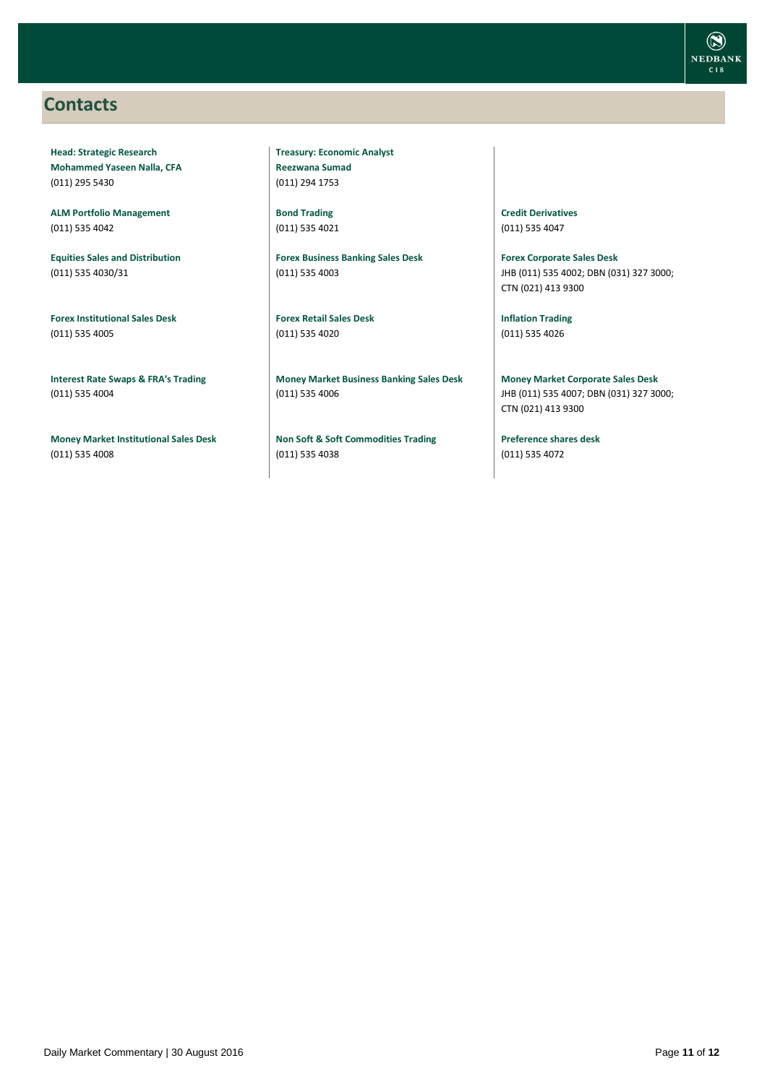### <span id="page-10-0"></span>**Contacts**

**Head: Strategic Research Mohammed Yaseen Nalla, CFA** (011) 295 5430

**ALM Portfolio Management** (011) 535 4042

**Equities Sales and Distribution** (011) 535 4030/31

**Forex Institutional Sales Desk** (011) 535 4005

**Interest Rate Swaps & FRA's Trading** (011) 535 4004

**Money Market Institutional Sales Desk** (011) 535 4008

**Treasury: Economic Analyst Reezwana Sumad** (011) 294 1753

**Bond Trading** (011) 535 4021

**Forex Business Banking Sales Desk** (011) 535 4003

**Forex Retail Sales Desk** (011) 535 4020

**Money Market Business Banking Sales Desk** (011) 535 4006

**Non Soft & Soft Commodities Trading** (011) 535 4038

**Credit Derivatives**  (011) 535 4047

**Forex Corporate Sales Desk** JHB (011) 535 4002; DBN (031) 327 3000; CTN (021) 413 9300

**Inflation Trading** (011) 535 4026

**Money Market Corporate Sales Desk** JHB (011) 535 4007; DBN (031) 327 3000; CTN (021) 413 9300

**Preference shares desk** (011) 535 4072